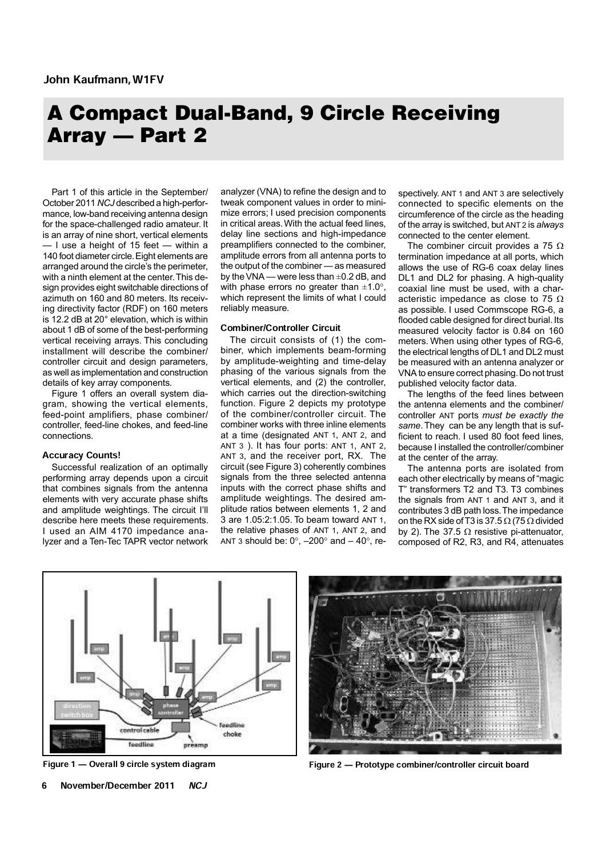# A Compact Dual-Band, 9 Circle Receiving Array — Part 2

Part 1 of this article in the September/ October 2011 *NCJ* described a high-performance, low-band receiving antenna design for the space-challenged radio amateur. It is an array of nine short, vertical elements — I use a height of 15 feet — within a 140 foot diameter circle. Eight elements are arranged around the circle's the perimeter, with a ninth element at the center. This design provides eight switchable directions of azimuth on 160 and 80 meters. Its receiving directivity factor (RDF) on 160 meters is 12.2 dB at 20° elevation, which is within about 1 dB of some of the best-performing vertical receiving arrays. This concluding installment will describe the combiner/ controller circuit and design parameters, as well as implementation and construction details of key array components.

Figure 1 offers an overall system diagram, showing the vertical elements, feed-point amplifiers, phase combiner/ controller, feed-line chokes, and feed-line connections.

## Accuracy Counts!

Successful realization of an optimally performing array depends upon a circuit that combines signals from the antenna elements with very accurate phase shifts and amplitude weightings. The circuit I'll describe here meets these requirements. I used an AIM 4170 impedance analyzer and a Ten-Tec TAPR vector network analyzer (VNA) to refine the design and to tweak component values in order to minimize errors; I used precision components in critical areas. With the actual feed lines, delay line sections and high-impedance preamplifiers connected to the combiner, amplitude errors from all antenna ports to the output of the combiner — as measured by the VNA — were less than ±0.2 dB, and with phase errors no greater than  $\pm 1.0^{\circ}$ , which represent the limits of what I could reliably measure.

# Combiner/Controller Circuit

The circuit consists of (1) the combiner, which implements beam-forming by amplitude-weighting and time-delay phasing of the various signals from the vertical elements, and (2) the controller, which carries out the direction-switching function. Figure 2 depicts my prototype of the combiner/controller circuit. The combiner works with three inline elements at a time (designated ANT 1, ANT 2, and ANT  $3$  ). It has four ports:  $ANT 1$ ,  $ANT 2$ , ANT 3, and the receiver port, RX. The circuit (see Figure 3) coherently combines signals from the three selected antenna inputs with the correct phase shifts and amplitude weightings. The desired amplitude ratios between elements 1, 2 and 3 are 1.05:2:1.05. To beam toward ANT 1, the relative phases of ANT 1, ANT 2, and ANT 3 should be:  $0^\circ$ ,  $-200^\circ$  and  $-40^\circ$ , respectively. ANT 1 and ANT 3 are selectively connected to specific elements on the circumference of the circle as the heading of the array is switched, but ANT 2 is *always* connected to the center element.

The combiner circuit provides a 75  $\Omega$ termination impedance at all ports, which allows the use of RG-6 coax delay lines DL1 and DL2 for phasing. A high-quality coaxial line must be used, with a characteristic impedance as close to 75  $\Omega$ as possible. I used Commscope RG-6, a flooded cable designed for direct burial. Its measured velocity factor is 0.84 on 160 meters. When using other types of RG-6, the electrical lengths of DL1 and DL2 must be measured with an antenna analyzer or VNA to ensure correct phasing. Do not trust published velocity factor data.

The lengths of the feed lines between the antenna elements and the combiner/ controller ANT ports *must be exactly the same*. They can be any length that is sufficient to reach. I used 80 foot feed lines, because I installed the controller/combiner at the center of the array.

The antenna ports are isolated from each other electrically by means of "magic T" transformers T2 and T3. T3 combines the signals from ANT 1 and ANT 3, and it contributes 3 dB path loss. The impedance on the RX side of T3 is 37.5  $\Omega$  (75  $\Omega$  divided by 2). The 37.5  $\Omega$  resistive pi-attenuator, composed of R2, R3, and R4, attenuates





Figure 1 – Overall 9 circle system diagram Figure 2 – Prototype combiner/controller circuit board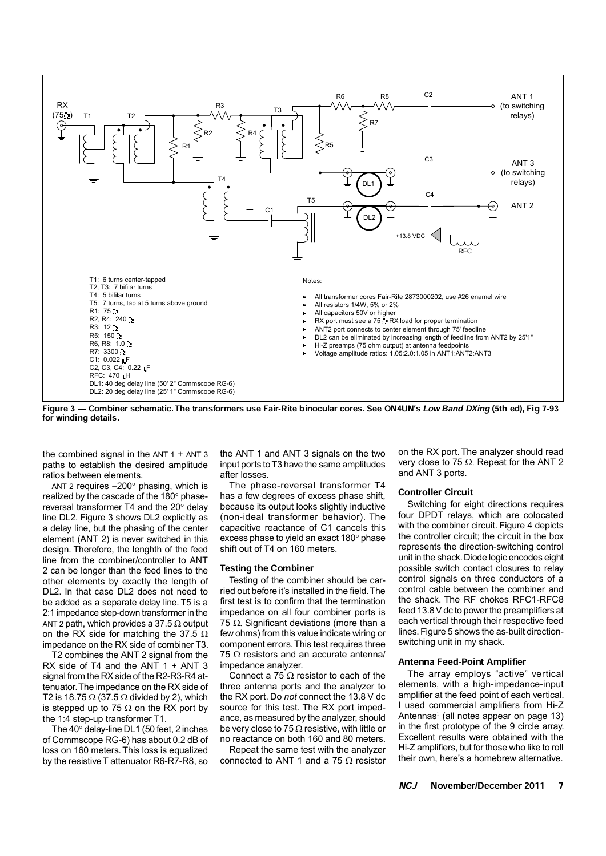

Figure 3 – Combiner schematic. The transformers use Fair-Rite binocular cores. See ON4UN's Low Band DXing (5th ed), Fig 7-93 for winding details.

the combined signal in the  $ANT 1 + ANT 3$ paths to establish the desired amplitude ratios between elements.

ANT 2 requires –200° phasing, which is realized by the cascade of the 180° phasereversal transformer T4 and the 20° delay line DL2. Figure 3 shows DL2 explicitly as a delay line, but the phasing of the center element (ANT 2) is never switched in this design. Therefore, the lenghth of the feed line from the combiner/controller to ANT 2 can be longer than the feed lines to the other elements by exactly the length of DL2. In that case DL2 does not need to be added as a separate delay line. T5 is a 2:1 impedance step-down transformer in the ANT 2 path, which provides a 37.5  $\Omega$  output on the RX side for matching the 37.5  $\Omega$ impedance on the RX side of combiner T3.

T2 combines the ANT 2 signal from the RX side of T4 and the ANT 1 + ANT 3 signal from the RX side of the R2-R3-R4 attenuator. The impedance on the RX side of T2 is 18.75  $\Omega$  (37.5  $\Omega$  divided by 2), which is stepped up to 75  $\Omega$  on the RX port by the 1:4 step-up transformer T1.

The 40° delay-line DL1 (50 feet, 2 inches of Commscope RG-6) has about 0.2 dB of loss on 160 meters. This loss is equalized by the resistive T attenuator R6-R7-R8, so

the ANT 1 and ANT 3 signals on the two input ports to T3 have the same amplitudes after losses.

The phase-reversal transformer T4 has a few degrees of excess phase shift, because its output looks slightly inductive (non-ideal transformer behavior). The capacitive reactance of C1 cancels this excess phase to yield an exact 180° phase shift out of T4 on 160 meters.

# Testing the Combiner

Testing of the combiner should be carried out before it's installed in the field. The first test is to confirm that the termination impedance on all four combiner ports is 75  $\Omega$ . Significant deviations (more than a few ohms) from this value indicate wiring or component errors. This test requires three 75  $\Omega$  resistors and an accurate antenna/ impedance analyzer.

Connect a 75  $\Omega$  resistor to each of the three antenna ports and the analyzer to the RX port. Do *not* connect the 13.8 V dc source for this test. The RX port impedance, as measured by the analyzer, should be very close to 75  $\Omega$  resistive, with little or no reactance on both 160 and 80 meters.

Repeat the same test with the analyzer connected to ANT 1 and a 75  $\Omega$  resistor on the RX port. The analyzer should read very close to 75  $\Omega$ . Repeat for the ANT 2 and ANT 3 ports.

#### Controller Circuit

Switching for eight directions requires four DPDT relays, which are colocated with the combiner circuit. Figure 4 depicts the controller circuit; the circuit in the box represents the direction-switching control unit in the shack. Diode logic encodes eight possible switch contact closures to relay control signals on three conductors of a control cable between the combiner and the shack. The RF chokes RFC1-RFC8 feed 13.8 V dc to power the preamplifiers at each vertical through their respective feed lines. Figure 5 shows the as-built directionswitching unit in my shack.

# **Antenna Feed-Point Amplifier**

The array employs "active" vertical elements, with a high-impedance-input amplifier at the feed point of each vertical. I used commercial amplifiers from Hi-Z Antennas<sup>1</sup> (all notes appear on page 13) in the first prototype of the 9 circle array. Excellent results were obtained with the Hi-Z amplifiers, but for those who like to roll their own, here's a homebrew alternative.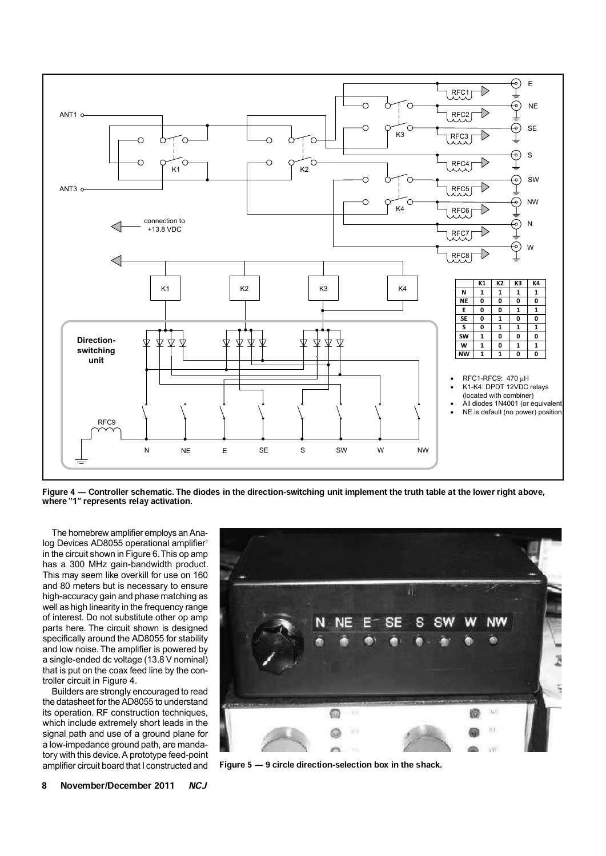

Figure 4 – Controller schematic. The diodes in the direction-switching unit implement the truth table at the lower right above, where "1" represents relay activation.

The homebrew amplifier employs an Analog Devices AD8055 operational amplifier<sup>2</sup> in the circuit shown in Figure 6. This op amp has a 300 MHz gain-bandwidth product. This may seem like overkill for use on 160 and 80 meters but is necessary to ensure high-accuracy gain and phase matching as well as high linearity in the frequency range of interest. Do not substitute other op amp parts here. The circuit shown is designed specifically around the AD8055 for stability and low noise. The amplifier is powered by a single-ended dc voltage (13.8 V nominal) that is put on the coax feed line by the controller circuit in Figure 4.

Builders are strongly encouraged to read the datasheet for the AD8055 to understand its operation. RF construction techniques, which include extremely short leads in the signal path and use of a ground plane for a low-impedance ground path, are mandatory with this device. A prototype feed-point amplifier circuit board that I constructed and



Figure  $5 - 9$  circle direction-selection box in the shack.

8 November/December 2011 NCJ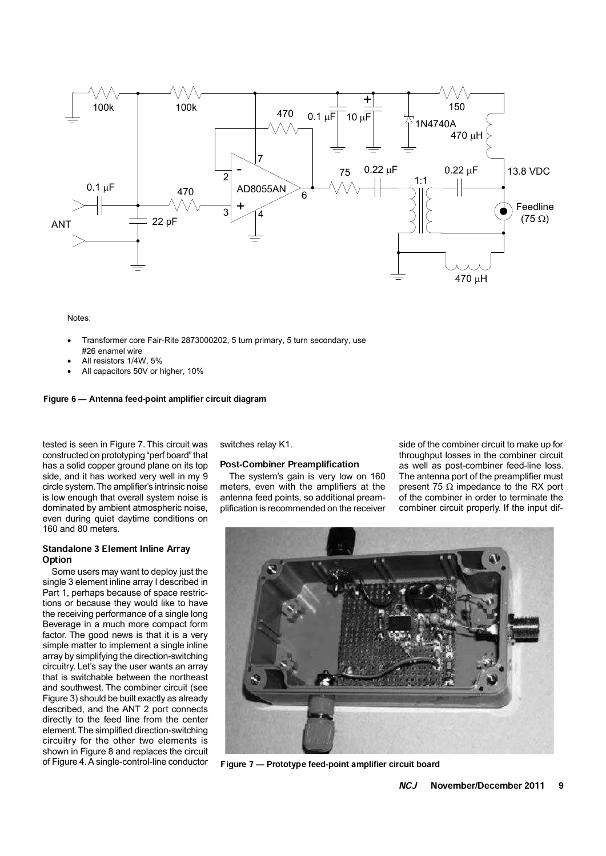

Notes:

- Transformer core Fair-Rite 2873000202, 5 turn primary, 5 turn secondary, use #26 enamel wire
- All resistors 1/4W 5%
- All capacitors 50V or higher, 10%

# Figure 6 – Antenna feed-point amplifier circuit diagram

tested is seen in Figure 7. This circuit was constructed on prototyping "perf board" that has a solid copper ground plane on its top side, and it has worked very well in my 9 circle system. The amplifier's intrinsic noise is low enough that overall system noise is dominated by ambient atmospheric noise, even during quiet daytime conditions on 160 and 80 meters.

# Standalone 3 Element Inline Array **Option**

Some users may want to deploy just the single 3 element inline array I described in Part 1, perhaps because of space restrictions or because they would like to have the receiving performance of a single long Beverage in a much more compact form factor. The good news is that it is a very simple matter to implement a single inline array by simplifying the direction-switching circuitry. Let's say the user wants an array that is switchable between the northeast and southwest. The combiner circuit (see Figure 3) should be built exactly as already described, and the ANT 2 port connects directly to the feed line from the center element. The simplified direction-switching circuitry for the other two elements is shown in Figure 8 and replaces the circuit of Figure 4. A single-control-line conductor switches relay K1.

## **Post-Combiner Preamplification**

The system's gain is very low on 160 meters, even with the amplifiers at the antenna feed points, so additional preamplification is recommended on the receiver

side of the combiner circuit to make up for throughput losses in the combiner circuit as well as post-combiner feed-line loss. The antenna port of the preamplifier must present 75  $\Omega$  impedance to the RX port of the combiner in order to terminate the combiner circuit properly. If the input dif-



Figure 7 – Prototype feed-point amplifier circuit board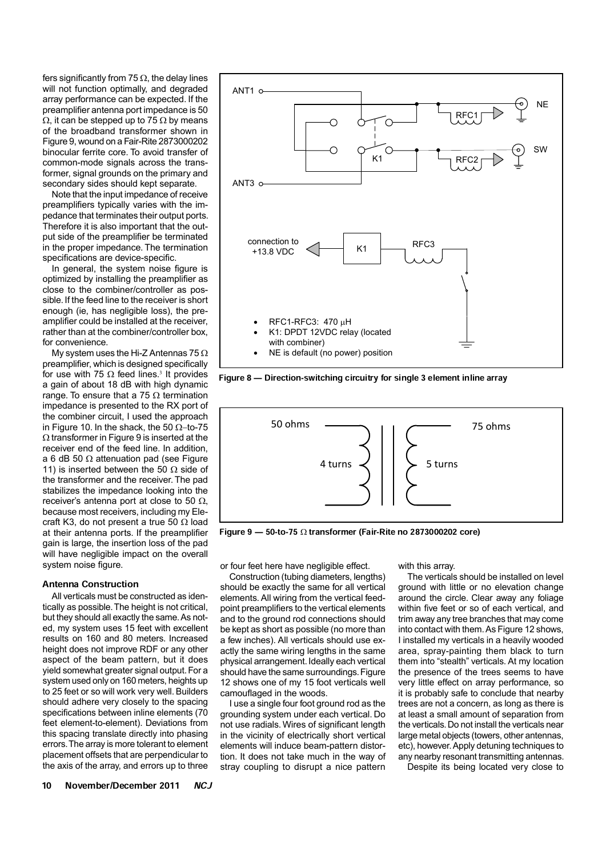fers significantly from 75  $\Omega$ , the delay lines will not function optimally, and degraded array performance can be expected. If the preamplifier antenna port impedance is 50  $\Omega$ , it can be stepped up to 75  $\Omega$  by means of the broadband transformer shown in Figure 9, wound on a Fair-Rite 2873000202 binocular ferrite core. To avoid transfer of common-mode signals across the transformer, signal grounds on the primary and secondary sides should kept separate.

Note that the input impedance of receive preamplifiers typically varies with the impedance that terminates their output ports. Therefore it is also important that the output side of the preamplifier be terminated in the proper impedance. The termination specifications are device-specific.

In general, the system noise figure is optimized by installing the preamplifier as close to the combiner/controller as possible. If the feed line to the receiver is short enough (ie, has negligible loss), the preamplifier could be installed at the receiver, rather than at the combiner/controller box, for convenience.

My system uses the Hi-Z Antennas 75  $\Omega$ preamplifier, which is designed specifically for use with 75  $\Omega$  feed lines.<sup>3</sup> It provides a gain of about 18 dB with high dynamic range. To ensure that a 75  $\Omega$  termination impedance is presented to the RX port of the combiner circuit, I used the approach in Figure 10. In the shack, the 50  $\Omega$ -to-75  $\Omega$  transformer in Figure 9 is inserted at the receiver end of the feed line. In addition, a 6 dB 50  $\Omega$  attenuation pad (see Figure 11) is inserted between the 50  $\Omega$  side of the transformer and the receiver. The pad stabilizes the impedance looking into the receiver's antenna port at close to 50  $\Omega$ , because most receivers, including my Elecraft K3, do not present a true 50  $\Omega$  load at their antenna ports. If the preamplifier gain is large, the insertion loss of the pad will have negligible impact on the overall system noise figure.

# Antenna Construction

All verticals must be constructed as identically as possible. The height is not critical, but they should all exactly the same. As noted, my system uses 15 feet with excellent results on 160 and 80 meters. Increased height does not improve RDF or any other aspect of the beam pattern, but it does yield somewhat greater signal output. For a system used only on 160 meters, heights up to 25 feet or so will work very well. Builders should adhere very closely to the spacing specifications between inline elements (70 feet element-to-element). Deviations from this spacing translate directly into phasing errors. The array is more tolerant to element placement offsets that are perpendicular to the axis of the array, and errors up to three



Figure 8 – Direction-switching circuitry for single 3 element inline array



Figure 9  $-$  50-to-75  $\Omega$  transformer (Fair-Rite no 2873000202 core)

or four feet here have negligible effect.

Construction (tubing diameters, lengths) should be exactly the same for all vertical elements. All wiring from the vertical feedpoint preamplifiers to the vertical elements and to the ground rod connections should be kept as short as possible (no more than a few inches). All verticals should use exactly the same wiring lengths in the same physical arrangement. Ideally each vertical should have the same surroundings. Figure 12 shows one of my 15 foot verticals well camouflaged in the woods.

I use a single four foot ground rod as the grounding system under each vertical. Do not use radials. Wires of significant length in the vicinity of electrically short vertical elements will induce beam-pattern distortion. It does not take much in the way of stray coupling to disrupt a nice pattern

with this array.

The verticals should be installed on level ground with little or no elevation change around the circle. Clear away any foliage within five feet or so of each vertical, and trim away any tree branches that may come into contact with them. As Figure 12 shows, I installed my verticals in a heavily wooded area, spray-painting them black to turn them into "stealth" verticals. At my location the presence of the trees seems to have very little effect on array performance, so it is probably safe to conclude that nearby trees are not a concern, as long as there is at least a small amount of separation from the verticals. Do not install the verticals near large metal objects (towers, other antennas, etc), however. Apply detuning techniques to any nearby resonant transmitting antennas.

Despite its being located very close to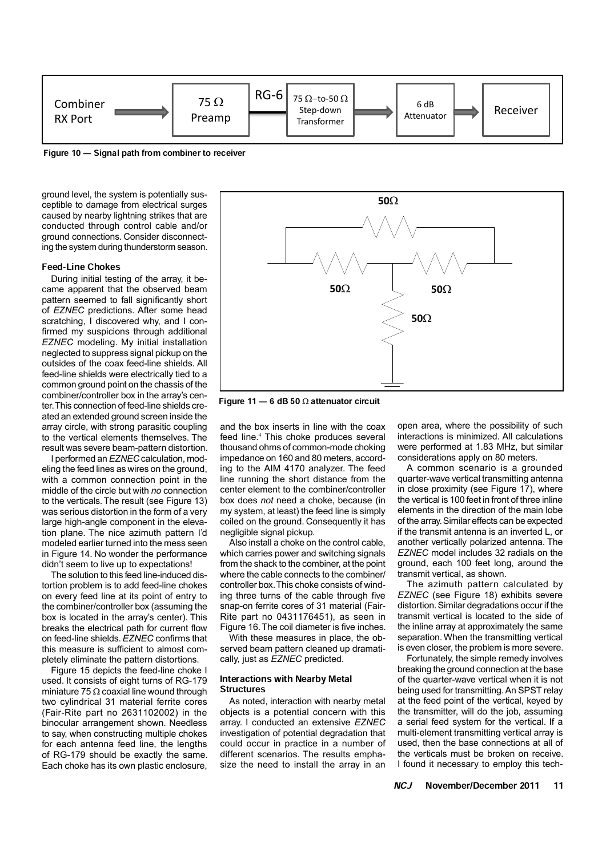

Figure 10 – Signal path from combiner to receiver

ground level, the system is potentially susceptible to damage from electrical surges caused by nearby lightning strikes that are conducted through control cable and/or ground connections. Consider disconnecting the system during thunderstorm season.

#### Feed-Line Chokes

During initial testing of the array, it became apparent that the observed beam pattern seemed to fall significantly short of *EZNEC* predictions. After some head scratching, I discovered why, and I confirmed my suspicions through additional *EZNEC* modeling. My initial installation neglected to suppress signal pickup on the outsides of the coax feed-line shields. All feed-line shields were electrically tied to a common ground point on the chassis of the combiner/controller box in the array's center. This connection of feed-line shields created an extended ground screen inside the array circle, with strong parasitic coupling to the vertical elements themselves. The result was severe beam-pattern distortion.

I performed an *EZNEC* calculation, modeling the feed lines as wires on the ground, with a common connection point in the middle of the circle but with *no* connection to the verticals. The result (see Figure 13) was serious distortion in the form of a very large high-angle component in the elevation plane. The nice azimuth pattern I'd modeled earlier turned into the mess seen in Figure 14. No wonder the performance didn't seem to live up to expectations!

The solution to this feed line-induced distortion problem is to add feed-line chokes on every feed line at its point of entry to the combiner/controller box (assuming the box is located in the array's center). This breaks the electrical path for current flow on feed-line shields. *EZNEC* confirms that this measure is sufficient to almost completely eliminate the pattern distortions.

Figure 15 depicts the feed-line choke I used. It consists of eight turns of RG-179 miniature 75  $\Omega$  coaxial line wound through two cylindrical 31 material ferrite cores (Fair-Rite part no 2631102002) in the binocular arrangement shown. Needless to say, when constructing multiple chokes for each antenna feed line, the lengths of RG-179 should be exactly the same. Each choke has its own plastic enclosure,



Figure 11  $-$  6 dB 50  $\Omega$  attenuator circuit

and the box inserts in line with the coax feed line.<sup>4</sup> This choke produces several thousand ohms of common-mode choking impedance on 160 and 80 meters, according to the AIM 4170 analyzer. The feed line running the short distance from the center element to the combiner/controller box does *not* need a choke, because (in my system, at least) the feed line is simply coiled on the ground. Consequently it has negligible signal pickup.

Also install a choke on the control cable, which carries power and switching signals from the shack to the combiner, at the point where the cable connects to the combiner/ controller box. This choke consists of winding three turns of the cable through five snap-on ferrite cores of 31 material (Fair-Rite part no 0431176451), as seen in Figure 16. The coil diameter is five inches.

With these measures in place, the observed beam pattern cleaned up dramatically, just as *EZNEC* predicted.

## Interactions with Nearby Metal **Structures**

As noted, interaction with nearby metal objects is a potential concern with this array. I conducted an extensive *EZNEC* investigation of potential degradation that could occur in practice in a number of different scenarios. The results emphasize the need to install the array in an

open area, where the possibility of such interactions is minimized. All calculations were performed at 1.83 MHz, but similar considerations apply on 80 meters.

A common scenario is a grounded quarter-wave vertical transmitting antenna in close proximity (see Figure 17), where the vertical is 100 feet in front of three inline elements in the direction of the main lobe of the array. Similar effects can be expected if the transmit antenna is an inverted L, or another vertically polarized antenna. The *EZNEC* model includes 32 radials on the ground, each 100 feet long, around the transmit vertical, as shown.

The azimuth pattern calculated by *EZNEC* (see Figure 18) exhibits severe distortion. Similar degradations occur if the transmit vertical is located to the side of the inline array at approximately the same separation. When the transmitting vertical is even closer, the problem is more severe.

Fortunately, the simple remedy involves breaking the ground connection at the base of the quarter-wave vertical when it is not being used for transmitting. An SPST relay at the feed point of the vertical, keyed by the transmitter, will do the job, assuming a serial feed system for the vertical. If a multi-element transmitting vertical array is used, then the base connections at all of the verticals must be broken on receive. I found it necessary to employ this tech-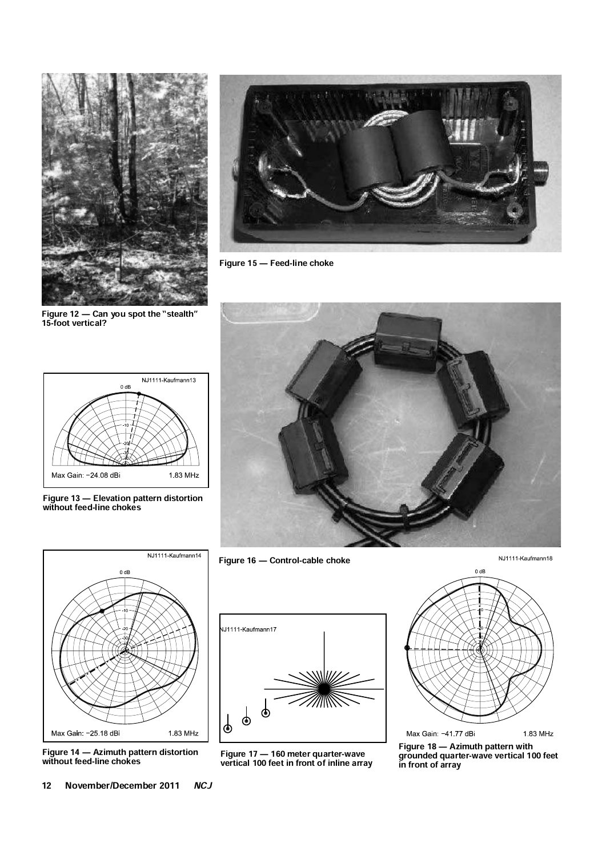

Figure 12  $-$  Can you spot the "stealth" 15-foot vertical?



Figure 15 – Feed-line choke



Figure 13 Ð Elevation pattern distortion without feed-line chokes



Figure 14 Ð Azimuth pattern distortion without feed-line chokes



Figure 16 - Control-cable choke

NJ1111 Kaufmann18



Figure 17 Ð 160 meter quarter-wave vertical 100 feet in front of inline array



Figure 18 – Azimuth pattern with grounded quarter-wave vertical 100 feet in front of array